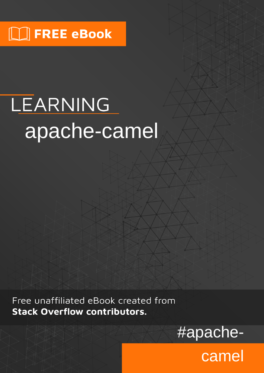# LEARNING apache-camel

Free unaffiliated eBook created from **Stack Overflow contributors.** 



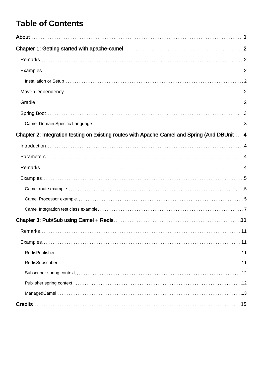# **Table of Contents**

| Chapter 2: Integration testing on existing routes with Apache-Camel and Spring (And DBUnit 4 |
|----------------------------------------------------------------------------------------------|
|                                                                                              |
|                                                                                              |
|                                                                                              |
|                                                                                              |
|                                                                                              |
|                                                                                              |
|                                                                                              |
|                                                                                              |
| Remarks<br>$\dots$ 11                                                                        |
|                                                                                              |
|                                                                                              |
|                                                                                              |
|                                                                                              |
|                                                                                              |
|                                                                                              |
|                                                                                              |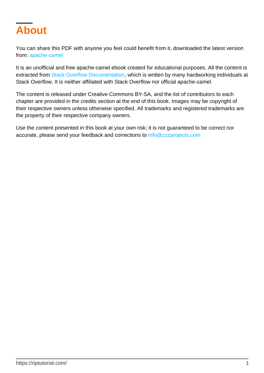<span id="page-2-0"></span>

You can share this PDF with anyone you feel could benefit from it, downloaded the latest version from: [apache-camel](http://riptutorial.com/ebook/apache-camel)

It is an unofficial and free apache-camel ebook created for educational purposes. All the content is extracted from [Stack Overflow Documentation,](https://archive.org/details/documentation-dump.7z) which is written by many hardworking individuals at Stack Overflow. It is neither affiliated with Stack Overflow nor official apache-camel.

The content is released under Creative Commons BY-SA, and the list of contributors to each chapter are provided in the credits section at the end of this book. Images may be copyright of their respective owners unless otherwise specified. All trademarks and registered trademarks are the property of their respective company owners.

Use the content presented in this book at your own risk; it is not guaranteed to be correct nor accurate, please send your feedback and corrections to [info@zzzprojects.com](mailto:info@zzzprojects.com)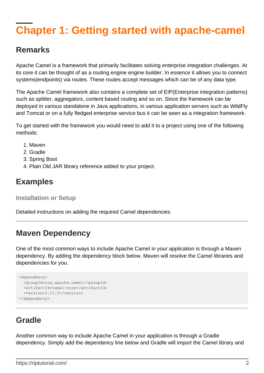# <span id="page-3-0"></span>**Chapter 1: Getting started with apache-camel**

### <span id="page-3-1"></span>**Remarks**

Apache Camel is a framework that primarily facilitates solving enterprise integration challenges. At its core it can be thought of as a routing engine engine builder. In essence it allows you to connect systems(endpoints) via routes. These routes accept messages which can be of any data type.

The Apache Camel framework also contains a complete set of EIP(Enterprise integration patterns) such as splitter, aggregators, content based routing and so on. Since the framework can be deployed in various standalone in Java applications, in various application servers such as WildFly and Tomcat or on a fully fledged enterprise service bus it can be seen as a integration framework.

To get started with the framework you would need to add it to a project using one of the following methods:

- 1. Maven
- 2. Gradle
- 3. Spring Boot
- 4. Plain Old JAR library reference added to your project.

# <span id="page-3-2"></span>**Examples**

<span id="page-3-3"></span>**Installation or Setup**

Detailed instructions on adding the required Camel dependencies.

# <span id="page-3-4"></span>**Maven Dependency**

One of the most common ways to include Apache Camel in your application is through a Maven dependency. By adding the dependency block below, Maven will resolve the Camel libraries and dependencies for you.

```
<dependency>
   <groupId>org.apache.camel</groupId>
   <artifactId>camel-core</artifactId>
   <version>2.17.3</version>
</dependency>
```
# <span id="page-3-5"></span>**Gradle**

Another common way to include Apache Camel in your application is through a Gradle dependency. Simply add the dependency line below and Gradle will import the Camel library and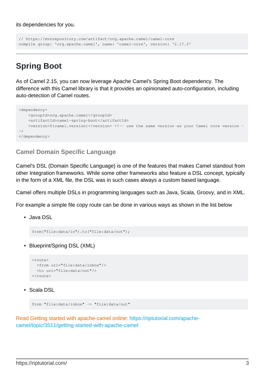its dependencies for you.

```
// https://mvnrepository.com/artifact/org.apache.camel/camel-core
compile group: 'org.apache.camel', name: 'camel-core', version: '2.17.3'
```
# <span id="page-4-0"></span>**Spring Boot**

As of Camel 2.15, you can now leverage Apache Camel's Spring Boot dependency. The difference with this Camel library is that it provides an opinionated auto-configuration, including auto-detection of Camel routes.

```
<dependency>
     <groupId>org.apache.camel</groupId>
     <artifactId>camel-spring-boot</artifactId>
     <version>${camel.version}</version> <!-- use the same version as your Camel core version -
\rightarrow</dependency>
```
#### <span id="page-4-1"></span>**Camel Domain Specific Language**

Camel's DSL (Domain Specific Language) is one of the features that makes Camel standout from other Integration frameworks. While some other frameworks also feature a DSL concept, typically in the form of a XML file, the DSL was in such cases always a custom based language.

Camel offers multiple DSLs in programming languages such as Java, Scala, Groovy, and in XML.

For example a simple file copy route can be done in various ways as shown in the list below

Java DSL •

from("file:data/in").to("file:data/out");

• Blueprint/Spring DSL (XML)

```
\langle \text{mult} \rangle <from uri="file:data/inbox"/>
   <to uri="file:data/out"/>
</route>
```
• Scala DSL

```
from "file:data/inbox" -> "file:data/out"
```
Read Getting started with apache-camel online: [https://riptutorial.com/apache](https://riptutorial.com/apache-camel/topic/3511/getting-started-with-apache-camel)[camel/topic/3511/getting-started-with-apache-camel](https://riptutorial.com/apache-camel/topic/3511/getting-started-with-apache-camel)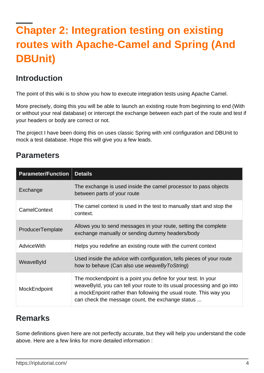# <span id="page-5-0"></span>**Chapter 2: Integration testing on existing routes with Apache-Camel and Spring (And DBUnit)**

### <span id="page-5-1"></span>**Introduction**

The point of this wiki is to show you how to execute integration tests using Apache Camel.

More precisely, doing this you will be able to launch an existing route from beginning to end (With or without your real database) or intercept the exchange between each part of the route and test if your headers or body are correct or not.

The project I have been doing this on uses classic Spring with xml configuration and DBUnit to mock a test database. Hope this will give you a few leads.

# <span id="page-5-2"></span>**Parameters**

| <b>Parameter/Function</b> | <b>Details</b>                                                                                                                                                                                                                                                   |
|---------------------------|------------------------------------------------------------------------------------------------------------------------------------------------------------------------------------------------------------------------------------------------------------------|
| Exchange                  | The exchange is used inside the camel processor to pass objects<br>between parts of your route                                                                                                                                                                   |
| CamelContext              | The camel context is used in the test to manually start and stop the<br>context.                                                                                                                                                                                 |
| ProducerTemplate          | Allows you to send messages in your route, setting the complete<br>exchange manually or sending dummy headers/body                                                                                                                                               |
| <b>AdviceWith</b>         | Helps you redefine an existing route with the current context                                                                                                                                                                                                    |
| WeaveById                 | Used inside the advice with configuration, tells pieces of your route<br>how to behave (Can also use weaveByToString)                                                                                                                                            |
| MockEndpoint              | The mockendpoint is a point you define for your test. In your<br>weaveById, you can tell your route to its usual processing and go into<br>a mockEnpoint rather than following the usual route. This way you<br>can check the message count, the exchange status |

# <span id="page-5-3"></span>**Remarks**

Some definitions given here are not perfectly accurate, but they will help you understand the code above. Here are a few links for more detailed information :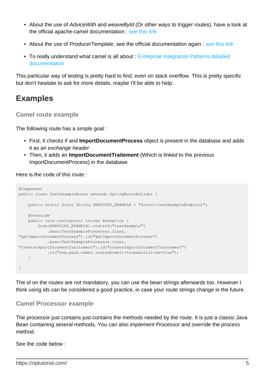- About the use of AdviceWith and weaveById (Or other ways to trigger routes), have a look at the official apache-camel documentation : [see this link](http://camel.apache.org/advicewith.html)
- About the use of ProducerTemplate, see the official documentation again : [see this link](http://camel.apache.org/producertemplate.html)
- To really understand what camel is all about : [Entreprise Integration Patterns detailed](http://camel.apache.org/enterprise-integration-patterns.html) [documentation](http://camel.apache.org/enterprise-integration-patterns.html)

This particular way of testing is pretty hard to find, even on stack overflow. This is pretty specific but don't hesitate to ask for more details, maybe I'll be able to help.

# <span id="page-6-0"></span>**Examples**

#### <span id="page-6-1"></span>**Camel route example**

The following route has a simple goal :

- First, it checks if and **ImportDocumentProcess** object is present in the database and adds it as an exchange header
- Then, it adds an **ImportDocumentTraitement** (Which is linked to the previous ImportDocumentProcess) in the database

Here is the code of this route :

```
@Component
public class TestExampleRoute extends SpringRouteBuilder {
     public static final String ENDPOINT_EXAMPLE = "direct:testExampleEndpoint";
     @Override
     public void configure() throws Exception {
         from(ENDPOINT_EXAMPLE).routeId("testExample")
             .bean(TestExampleProcessor.class,
"getImportDocumentProcess").id("getImportDocumentProcess")
            .bean(TestExampleProcessor.class,
"createImportDocumentTraitement").id("createImportDocumentTraitement")
             .to("com.pack.camel.routeshowAll=true&multiline=true");
     }
}
```
The *id* on the routes are not mandatory, you can use the bean strings afterwards too. However I think using ids can be considered a good practice, in case your route strings change in the future.

#### <span id="page-6-2"></span>**Camel Processor example**

The processor just contains just contains the methods needed by the route. It is just a classic Java Bean containing several methods. You can also implement Processor and override the process method.

See the code below :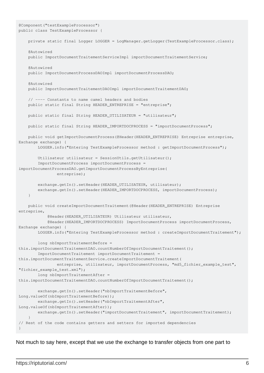```
@Component("testExampleProcessor")
public class TestExampleProcessor {
     private static final Logger LOGGER = LogManager.getLogger(TestExampleProcessor.class);
     @Autowired
     public ImportDocumentTraitementServiceImpl importDocumentTraitementService;
     @Autowired
    public ImportDocumentProcessDAOImpl importDocumentProcessDAO;
     @Autowired
     public ImportDocumentTraitementDAOImpl importDocumentTraitementDAO;
     // ---- Constants to name camel headers and bodies
    public static final String HEADER_ENTREPRISE = "entreprise";
    public static final String HEADER_UTILISATEUR = "utilisateur";
    public static final String HEADER_IMPORTDOCPROCESS = "importDocumentProcess";
    public void getImportDocumentProcess(@Header(HEADER_ENTREPRISE) Entreprise entreprise,
Exchange exchange) {
         LOGGER.info("Entering TestExampleProcessor method : getImportDocumentProcess");
         Utilisateur utilisateur = SessionUtils.getUtilisateur();
         ImportDocumentProcess importDocumentProcess =
importDocumentProcessDAO.getImportDocumentProcessByEntreprise(
                 entreprise);
       exchange.getIn().setHeader(HEADER_UTILISATEUR, utilisateur);
        exchange.getIn().setHeader(HEADER_IMPORTDOCPROCESS, importDocumentProcess);
     }
    public void createImportDocumentTraitement(@Header(HEADER_ENTREPRISE) Entreprise
entreprise,
             @Header(HEADER_UTILISATEUR) Utilisateur utilisateur,
             @Header(HEADER_IMPORTDOCPROCESS) ImportDocumentProcess importDocumentProcess,
Exchange exchange) {
         LOGGER.info("Entering TestExampleProcessor method : createImportDocumentTraitement");
         long nbImportTraitementBefore =
this.importDocumentTraitementDAO.countNumberOfImportDocumentTraitement();
         ImportDocumentTraitement importDocumentTraitement =
this.importDocumentTraitementService.createImportDocumentTraitement(
                 entreprise, utilisateur, importDocumentProcess, "md5_fichier_example_test",
"fichier_example_test.xml");
        long nbImportTraitementAfter =
this.importDocumentTraitementDAO.countNumberOfImportDocumentTraitement();
         exchange.getIn().setHeader("nbImportTraitementBefore",
Long.valueOf(nbImportTraitementBefore));
        exchange.getIn().setHeader("nbImportTraitementAfter",
Long.valueOf(nbImportTraitementAfter));
        exchange.getIn().setHeader("importDocumentTraitement", importDocumentTraitement);
 }
// Rest of the code contains getters and setters for imported dependencies
}
```
Not much to say here, except that we use the exchange to transfer objects from one part to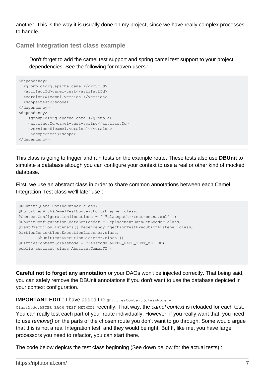another. This is the way it is usually done on my project, since we have really complex processes to handle.

#### <span id="page-8-0"></span>**Camel Integration test class example**

Don't forget to add the camel test support and spring camel test support to your project dependencies. See the following for maven users :

```
<dependency>
   <groupId>org.apache.camel</groupId>
   <artifactId>camel-test</artifactId>
   <version>${camel.version}</version>
   <scope>test</scope>
</dependency>
<dependency>
    <groupId>org.apache.camel</groupId>
     <artifactId>camel-test-spring</artifactId>
     <version>${camel.version}</version>
     <scope>test</scope>
</dependency>
```
This class is going to trigger and run tests on the example route. These tests also use **DBUnit** to simulate a database altough you can configure your context to use a real or other kind of mocked database.

First, we use an abstract class in order to share common annotations between each Camel Integration Test class we'll later use :

```
@RunWith(CamelSpringRunner.class)
@BootstrapWith(CamelTestContextBootstrapper.class)
@ContextConfiguration(locations = { "classpath:/test-beans.xml" })
@DbUnitConfiguration(dataSetLoader = ReplacementDataSetLoader.class)
@TestExecutionListeners({ DependencyInjectionTestExecutionListener.class,
DirtiesContextTestExecutionListener.class,
        DbUnitTestExecutionListener.class })
@DirtiesContext(classMode = ClassMode.AFTER_EACH_TEST_METHOD)
public abstract class AbstractCamelTI {
}
```
**Careful not to forget any annotation** or your DAOs won't be injected correctly. That being said, you can safely remove the DBUnit annotations if you don't want to use the database depicted in your context configuration.

#### **IMPORTANT EDIT** : I have added the *IDirtiesContext (classMode =*

ClassMode. AFTER\_EACH\_TEST\_METHOD) recently. That way, the camel context is reloaded for each test. You can really test each part of your route individually. However, if you really want that, you need to use remove() on the parts of the chosen route you don't want to go through. Some would argue that this is not a real Integration test, and they would be right. But If, like me, you have large processors you need to refactor, you can start there.

The code below depicts the test class beginning (See down bellow for the actual tests) :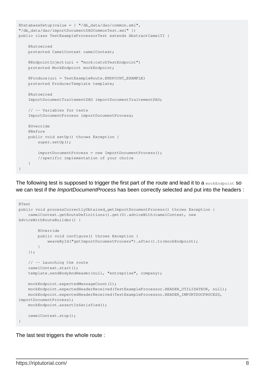```
@DatabaseSetup(value = { "/db_data/dao/common.xml",
"/db_data/dao/importDocumentDAOCommonTest.xml" })
public class TestExampleProcessorTest extends AbstractCamelTI {
     @Autowired
     protected CamelContext camelContext;
     @EndpointInject(uri = "mock:catchTestEndpoint")
     protected MockEndpoint mockEndpoint;
     @Produce(uri = TestExampleRoute.ENDPOINT_EXAMPLE)
     protected ProducerTemplate template;
     @Autowired
     ImportDocumentTraitementDAO importDocumentTraitementDAO;
     // -- Variables for tests
     ImportDocumentProcess importDocumentProcess;
     @Override
     @Before
     public void setUp() throws Exception {
         super.setUp();
         importDocumentProcess = new ImportDocumentProcess();
         //specific implementation of your choice
     }
}
```
The following test is supposed to trigger the first part of the route and lead it to a mockEndpoint SO we can test if the *ImportDocumentProcess* has been correctly selected and put into the headers :

```
@Test
public void processCorrectlyObtained_getImportDocumentProcess() throws Exception {
    camelContext.getRouteDefinitions().get(0).adviceWith(camelContext, new
AdviceWithRouteBuilder() {
         @Override
         public void configure() throws Exception {
             weaveById("getImportDocumentProcess").after().to(mockEndpoint);
 }
     });
     // -- Launching the route
     camelContext.start();
     template.sendBodyAndHeader(null, "entreprise", company);
    mockEndpoint.expectedMessageCount(1);
    mockEndpoint.expectedHeaderReceived(TestExampleProcessor.HEADER_UTILISATEUR, null);
    mockEndpoint.expectedHeaderReceived(TestExampleProcessor.HEADER_IMPORTDOCPROCESS,
importDocumentProcess);
    mockEndpoint.assertIsSatisfied();
     camelContext.stop();
}
```
The last test triggers the whole route :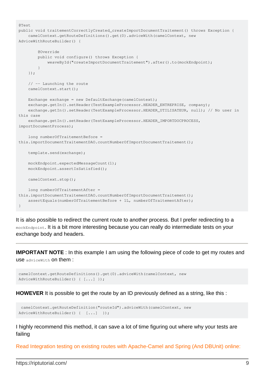```
@Test
public void traitementCorrectlyCreated_createImportDocumentTraitement() throws Exception {
   camelContext.getRouteDefinitions().get(0).adviceWith(camelContext, new
AdviceWithRouteBuilder() {
         @Override
         public void configure() throws Exception {
             weaveById("createImportDocumentTraitement").after().to(mockEndpoint);
 }
     });
     // -- Launching the route
     camelContext.start();
   Exchange exchange = new DefaultExchange(camelContext);
    exchange.getIn().setHeader(TestExampleProcessor.HEADER_ENTREPRISE, company);
    exchange.getIn().setHeader(TestExampleProcessor.HEADER_UTILISATEUR, null); // No user in
this case
     exchange.getIn().setHeader(TestExampleProcessor.HEADER_IMPORTDOCPROCESS,
importDocumentProcess);
     long numberOfTraitementBefore =
this.importDocumentTraitementDAO.countNumberOfImportDocumentTraitement();
     template.send(exchange);
    mockEndpoint.expectedMessageCount(1);
    mockEndpoint.assertIsSatisfied();
    camelContext.stop();
    long numberOfTraitementAfter =
this.importDocumentTraitementDAO.countNumberOfImportDocumentTraitement();
     assertEquals(numberOfTraitementBefore + 1L, numberOfTraitementAfter);
}
```
It is also possible to redirect the current route to another process. But I prefer redirecting to a mockEndpoint. It is a bit more interesting because you can really do intermediate tests on your exchange body and headers.

**IMPORTANT NOTE** : In this example I am using the following piece of code to get my routes and use adviceWith on them :

```
camelContext.getRouteDefinitions().get(0).adviceWith(camelContext, new
AdviceWithRouteBuilder() { [...] });
```
**HOWEVER** It is possible to get the route by an ID previously defined as a string, like this :

```
 camelContext.getRouteDefinition("routeId").adviceWith(camelContext, new
AdviceWithRouteBuilder() { [\ldots] });
```
I highly recommend this method, it can save a lot of time figuring out where why your tests are failing

Read Integration testing on existing routes with Apache-Camel and Spring (And DBUnit) online: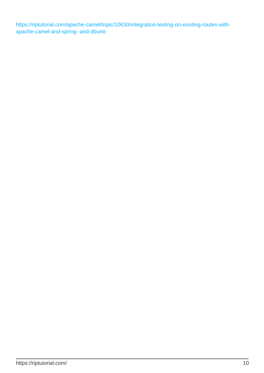[https://riptutorial.com/apache-camel/topic/10630/integration-testing-on-existing-routes-with](https://riptutorial.com/apache-camel/topic/10630/integration-testing-on-existing-routes-with-apache-camel-and-spring--and-dbunit-)[apache-camel-and-spring--and-dbunit-](https://riptutorial.com/apache-camel/topic/10630/integration-testing-on-existing-routes-with-apache-camel-and-spring--and-dbunit-)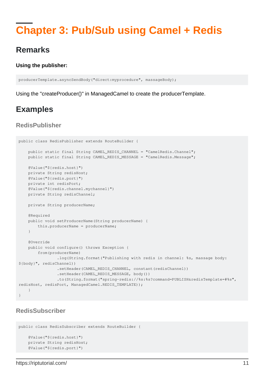# <span id="page-12-0"></span>**Chapter 3: Pub/Sub using Camel + Redis**

### <span id="page-12-1"></span>**Remarks**

#### **Using the publisher:**

```
producerTemplate.asyncSendBody("direct:myprocedure", massageBody);
```
<span id="page-12-2"></span>Using the "createProducer()" in ManagedCamel to create the producerTemplate.

# **Examples**

#### <span id="page-12-3"></span>**RedisPublisher**

```
public class RedisPublisher extends RouteBuilder {
     public static final String CAMEL_REDIS_CHANNEL = "CamelRedis.Channel";
     public static final String CAMEL_REDIS_MESSAGE = "CamelRedis.Message";
     @Value("${redis.host}")
     private String redisHost;
     @Value("${redis.port}")
     private int redisPort;
     @Value("${redis.channel.mychannel}")
     private String redisChannel;
    private String producerName;
     @Required
     public void setProducerName(String producerName) {
         this.producerName = producerName;
     }
     @Override
     public void configure() throws Exception {
        from(producerName)
                 .log(String.format("Publishing with redis in channel: %s, massage body:
${body}", redisChannel))
                 .setHeader(CAMEL_REDIS_CHANNEL, constant(redisChannel))
                 .setHeader(CAMEL_REDIS_MESSAGE, body())
                 .to(String.format("spring-redis://%s:%s?command=PUBLISH&redisTemplate=#%s",
redisHost, redisPort, ManagedCamel.REDIS_TEMPLATE));
 }
}
```
#### <span id="page-12-4"></span>**RedisSubscriber**

```
public class RedisSubscriber extends RouteBuilder {
     @Value("${redis.host}")
     private String redisHost;
     @Value("${redis.port}")
```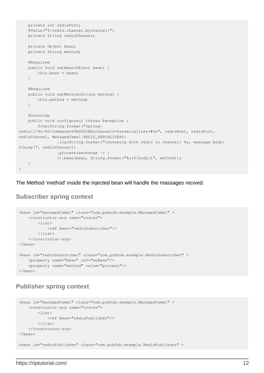```
 private int redisPort;
     @Value("${redis.channel.mychannel}")
     private String redisChannel;
    private Object bean;
     private String method;
     @Required
     public void setBean(Object bean) {
         this.bean = bean;
     }
     @Required
     public void setMethod(String method) {
         this.method = method;
     }
     @Override
     public void configure() throws Exception {
         from(String.format("spring-
redis://%s:%s?command=SUBSCRIBE&channels=%s&serializer=#%s", redisHost, redisPort,
redisChannel, ManagedCamel.REDIS_SERIALIZER))
                  .log(String.format("Consuming with redis in channel: %s, massage body:
${body}", redisChannel))
                  .process(exchange -> {
                  }).bean(bean, String.format("%s(${body})", method));
     }
}
```
<span id="page-13-0"></span>The Method 'method' inside the injected bean will handle the massages recived.

#### **Subscriber spring context**

```
<bean id="managedCamel" class="com.pubsub.example.ManagedCamel" >
     <constructor-arg name="routes">
        \langlelist\rangle <ref bean="redisSubscriber"/>
        \langle/list>
     </constructor-arg>
\langle/bean>
<bean id="redisSubscriber" class="com.pubSub.example.RedisSubscriber" >
     <property name="bean" ref="myBean"/>
     <property name="method" value="process"/>
</bean>
```
#### <span id="page-13-1"></span>**Publisher spring context**

```
<bean id="managedCamel" class="com.pubSub.example.ManagedCamel" >
     <constructor-arg name="routes">
        \langlelist>
              <ref bean="redisPublisher"/>
        \langle/list>
     </constructor-arg>
\langle/bean>
<bean id="redisPublisher" class="com.pubSub.example.RedisPublisher" >
```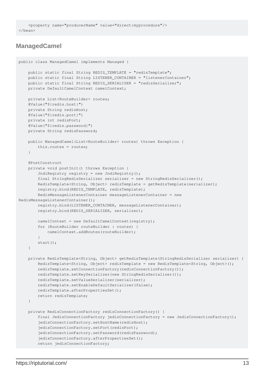```
 <property name="producerName" value="direct:myprocedure"/>
</bean>
```
#### <span id="page-14-0"></span>**ManagedCamel**

```
public class ManagedCamel implements Managed {
     public static final String REDIS_TEMPLATE = "redisTemplate";
     public static final String LISTENER_CONTAINER = "listenerContainer";
     public static final String REDIS_SERIALIZER = "redisSerializer";
     private DefaultCamelContext camelContext;
     private List<RouteBuilder> routes;
     @Value("${redis.host}")
     private String redisHost;
     @Value("${redis.port}")
     private int redisPort;
     @Value("${redis.password}")
     private String redisPassword;
     public ManagedCamel(List<RouteBuilder> routes) throws Exception {
         this.routes = routes;
     }
     @PostConstruct
     private void postInit() throws Exception {
         JndiRegistry registry = new JndiRegistry();
         final StringRedisSerializer serializer = new StringRedisSerializer();
         RedisTemplate<String, Object> redisTemplate = getRedisTemplate(serializer);
         registry.bind(REDIS_TEMPLATE, redisTemplate);
         RedisMessageListenerContainer messageListenerContainer = new
RedisMessageListenerContainer();
         registry.bind(LISTENER_CONTAINER, messageListenerContainer);
         registry.bind(REDIS_SERIALIZER, serializer);
        camelContext = new DefaultCamelContext(reqistry);
         for (RouteBuilder routeBuilder : routes) {
             camelContext.addRoutes(routeBuilder);
 }
         start();
     }
     private RedisTemplate<String, Object> getRedisTemplate(StringRedisSerializer serializer) {
         RedisTemplate<String, Object> redisTemplate = new RedisTemplate<String, Object>();
         redisTemplate.setConnectionFactory(redisConnectionFactory());
         redisTemplate.setKeySerializer(new StringRedisSerializer());
         redisTemplate.setValueSerializer(serializer);
         redisTemplate.setEnableDefaultSerializer(false);
         redisTemplate.afterPropertiesSet();
         return redisTemplate;
     }
     private RedisConnectionFactory redisConnectionFactory() {
         final JedisConnectionFactory jedisConnectionFactory = new JedisConnectionFactory();
        jedisConnectionFactory.setHostName(redisHost);
        jedisConnectionFactory.setPort(redisPort);
         jedisConnectionFactory.setPassword(redisPassword);
        jedisConnectionFactory.afterPropertiesSet();
         return jedisConnectionFactory;
```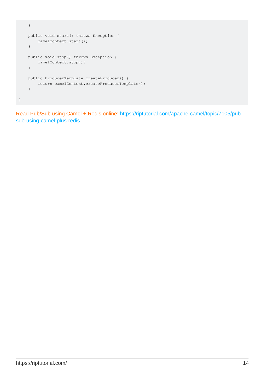```
 }
     public void start() throws Exception {
      camelContext.start();
     }
    public void stop() throws Exception {
       camelContext.stop();
     }
    public ProducerTemplate createProducer() {
       return camelContext.createProducerTemplate();
     }
}
```
Read Pub/Sub using Camel + Redis online: [https://riptutorial.com/apache-camel/topic/7105/pub](https://riptutorial.com/apache-camel/topic/7105/pub-sub-using-camel-plus-redis)[sub-using-camel-plus-redis](https://riptutorial.com/apache-camel/topic/7105/pub-sub-using-camel-plus-redis)